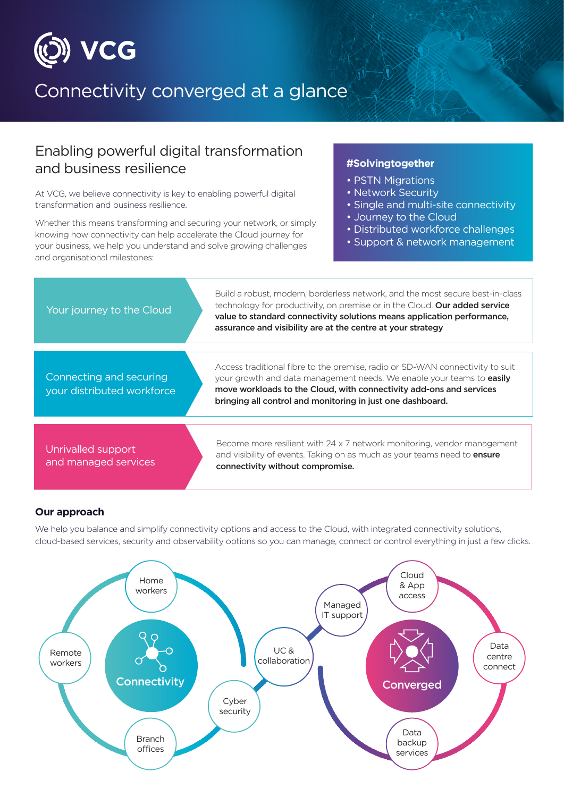

# Connectivity converged at a glance

### Enabling powerful digital transformation and business resilience

At VCG, we believe connectivity is key to enabling powerful digital transformation and business resilience.

Whether this means transforming and securing your network, or simply knowing how connectivity can help accelerate the Cloud journey for your business, we help you understand and solve growing challenges and organisational milestones:

#### **#Solvingtogether**

- PSTN Migrations
- Network Security
- Single and multi-site connectivity
- Journey to the Cloud
- Distributed workforce challenges
- Support & network management



#### **Our approach**

We help you balance and simplify connectivity options and access to the Cloud, with integrated connectivity solutions, cloud-based services, security and observability options so you can manage, connect or control everything in just a few clicks.